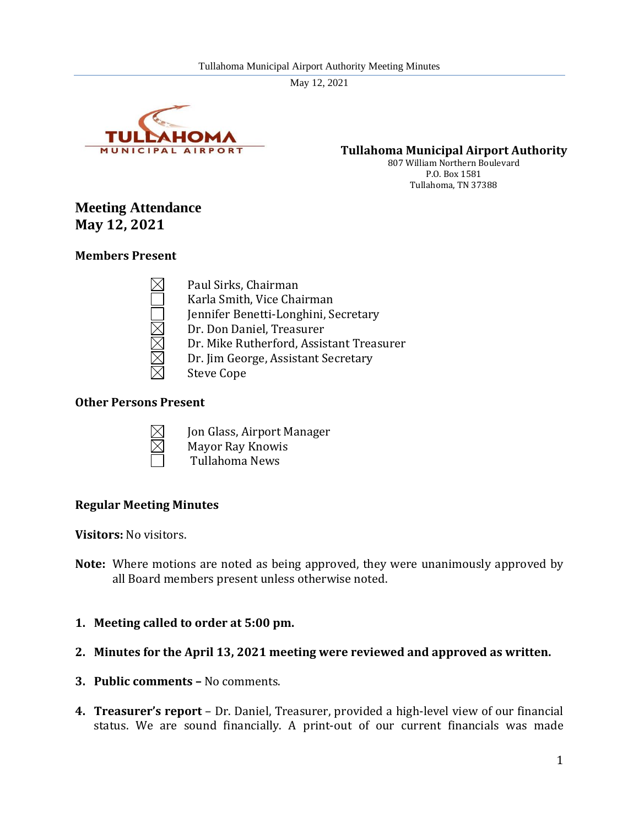

**Tullahoma Municipal Airport Authority**

807 William Northern Boulevard P.O. Box 1581 Tullahoma, TN 37388

# **Meeting Attendance May 12, 2021**

## **Members Present**

Paul Sirks, Chairman Karla Smith, Vice Chairman Jennifer Benetti-Longhini, Secretary Dr. Don Daniel, Treasurer Dr. Mike Rutherford, Assistant Treasurer Dr. Jim George, Assistant Secretary Steve Cope

#### **Other Persons Present**



Jon Glass, Airport Manager Mayor Ray Knowis Tullahoma News

# **Regular Meeting Minutes**

**Visitors:** No visitors.

- **Note:** Where motions are noted as being approved, they were unanimously approved by all Board members present unless otherwise noted.
- **1. Meeting called to order at 5:00 pm.**
- **2. Minutes for the April 13, 2021 meeting were reviewed and approved as written.**
- **3. Public comments –** No comments.
- **4. Treasurer's report**  Dr. Daniel, Treasurer, provided a high-level view of our financial status. We are sound financially. A print-out of our current financials was made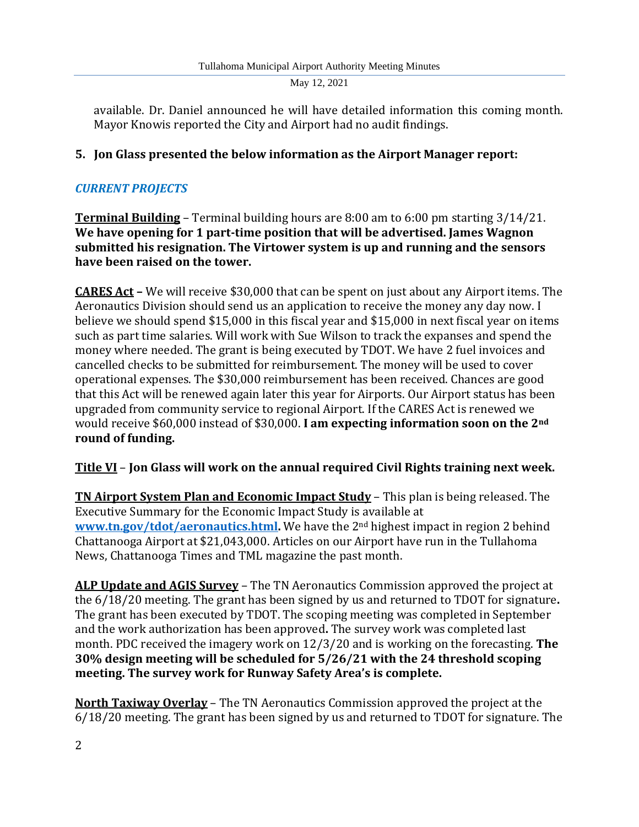available. Dr. Daniel announced he will have detailed information this coming month. Mayor Knowis reported the City and Airport had no audit findings.

# **5. Jon Glass presented the below information as the Airport Manager report:**

# *CURRENT PROJECTS*

**Terminal Building** – Terminal building hours are 8:00 am to 6:00 pm starting 3/14/21. **We have opening for 1 part-time position that will be advertised. James Wagnon submitted his resignation. The Virtower system is up and running and the sensors have been raised on the tower.**

**CARES Act –** We will receive \$30,000 that can be spent on just about any Airport items. The Aeronautics Division should send us an application to receive the money any day now. I believe we should spend \$15,000 in this fiscal year and \$15,000 in next fiscal year on items such as part time salaries. Will work with Sue Wilson to track the expanses and spend the money where needed. The grant is being executed by TDOT. We have 2 fuel invoices and cancelled checks to be submitted for reimbursement. The money will be used to cover operational expenses. The \$30,000 reimbursement has been received. Chances are good that this Act will be renewed again later this year for Airports. Our Airport status has been upgraded from community service to regional Airport. If the CARES Act is renewed we would receive \$60,000 instead of \$30,000. **I am expecting information soon on the 2nd round of funding.**

# **Title VI** – **Jon Glass will work on the annual required Civil Rights training next week.**

**TN Airport System Plan and Economic Impact Study** – This plan is being released. The Executive Summary for the Economic Impact Study is available at **[www.tn.gov/tdot/aeronautics.html.](http://www.tn.gov/tdot/aeronautics.html)** We have the 2nd highest impact in region 2 behind Chattanooga Airport at \$21,043,000. Articles on our Airport have run in the Tullahoma News, Chattanooga Times and TML magazine the past month.

**ALP Update and AGIS Survey** – The TN Aeronautics Commission approved the project at the 6/18/20 meeting. The grant has been signed by us and returned to TDOT for signature**.** The grant has been executed by TDOT. The scoping meeting was completed in September and the work authorization has been approved**.** The survey work was completed last month. PDC received the imagery work on 12/3/20 and is working on the forecasting. **The 30% design meeting will be scheduled for 5/26/21 with the 24 threshold scoping meeting. The survey work for Runway Safety Area's is complete.**

**North Taxiway Overlay** – The TN Aeronautics Commission approved the project at the 6/18/20 meeting. The grant has been signed by us and returned to TDOT for signature. The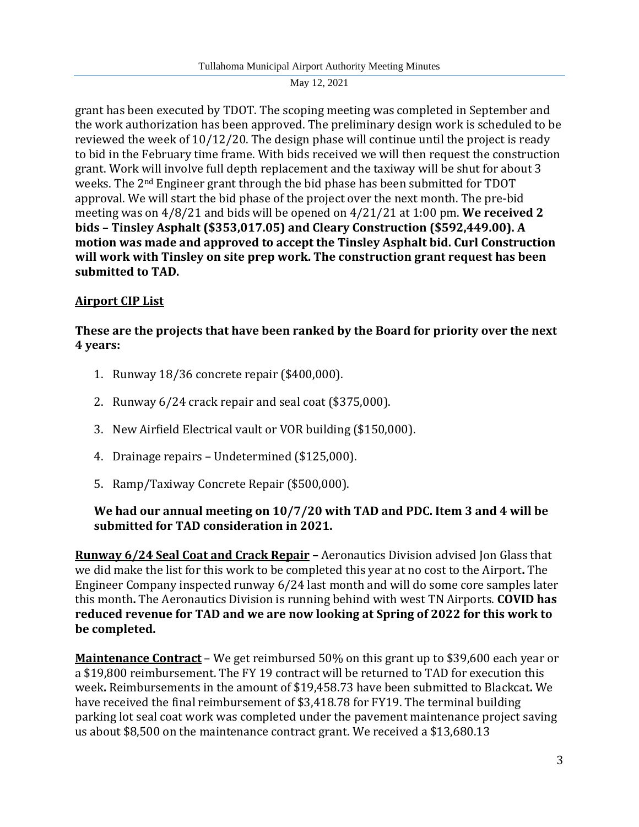grant has been executed by TDOT. The scoping meeting was completed in September and the work authorization has been approved. The preliminary design work is scheduled to be reviewed the week of 10/12/20. The design phase will continue until the project is ready to bid in the February time frame. With bids received we will then request the construction grant. Work will involve full depth replacement and the taxiway will be shut for about 3 weeks. The 2nd Engineer grant through the bid phase has been submitted for TDOT approval. We will start the bid phase of the project over the next month. The pre-bid meeting was on 4/8/21 and bids will be opened on 4/21/21 at 1:00 pm. **We received 2 bids – Tinsley Asphalt (\$353,017.05) and Cleary Construction (\$592,449.00). A motion was made and approved to accept the Tinsley Asphalt bid. Curl Construction will work with Tinsley on site prep work. The construction grant request has been submitted to TAD.**

# **Airport CIP List**

**These are the projects that have been ranked by the Board for priority over the next 4 years:**

- 1. Runway 18/36 concrete repair (\$400,000).
- 2. Runway 6/24 crack repair and seal coat (\$375,000).
- 3. New Airfield Electrical vault or VOR building (\$150,000).
- 4. Drainage repairs Undetermined (\$125,000).
- 5. Ramp/Taxiway Concrete Repair (\$500,000).

# **We had our annual meeting on 10/7/20 with TAD and PDC. Item 3 and 4 will be submitted for TAD consideration in 2021.**

**Runway 6/24 Seal Coat and Crack Repair –** Aeronautics Division advised Jon Glass that we did make the list for this work to be completed this year at no cost to the Airport**.** The Engineer Company inspected runway 6/24 last month and will do some core samples later this month**.** The Aeronautics Division is running behind with west TN Airports. **COVID has reduced revenue for TAD and we are now looking at Spring of 2022 for this work to be completed.** 

**Maintenance Contract** – We get reimbursed 50% on this grant up to \$39,600 each year or a \$19,800 reimbursement. The FY 19 contract will be returned to TAD for execution this week**.** Reimbursements in the amount of \$19,458.73 have been submitted to Blackcat**.** We have received the final reimbursement of \$3,418.78 for FY19. The terminal building parking lot seal coat work was completed under the pavement maintenance project saving us about \$8,500 on the maintenance contract grant. We received a \$13,680.13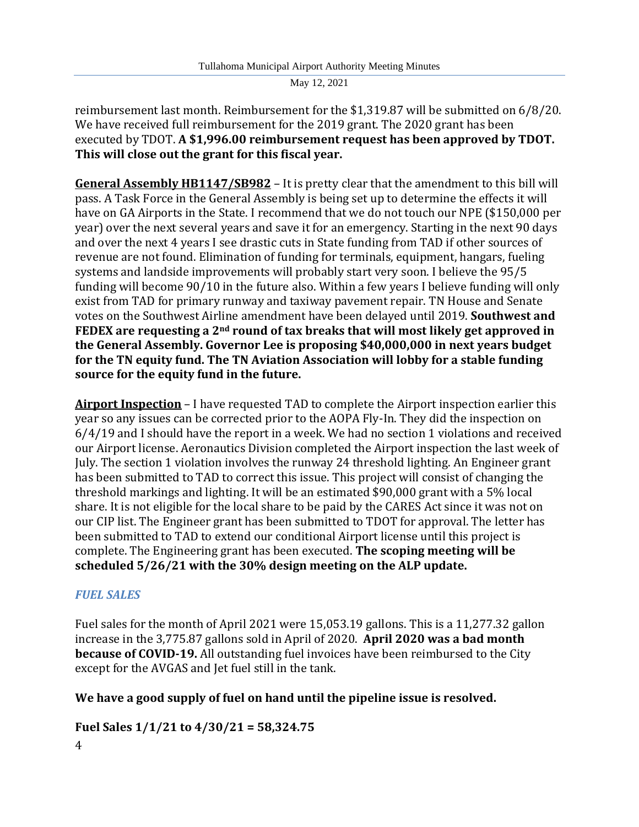reimbursement last month. Reimbursement for the \$1,319.87 will be submitted on 6/8/20. We have received full reimbursement for the 2019 grant. The 2020 grant has been executed by TDOT. **A \$1,996.00 reimbursement request has been approved by TDOT. This will close out the grant for this fiscal year.**

**General Assembly HB1147/SB982** – It is pretty clear that the amendment to this bill will pass. A Task Force in the General Assembly is being set up to determine the effects it will have on GA Airports in the State. I recommend that we do not touch our NPE (\$150,000 per year) over the next several years and save it for an emergency. Starting in the next 90 days and over the next 4 years I see drastic cuts in State funding from TAD if other sources of revenue are not found. Elimination of funding for terminals, equipment, hangars, fueling systems and landside improvements will probably start very soon. I believe the 95/5 funding will become 90/10 in the future also. Within a few years I believe funding will only exist from TAD for primary runway and taxiway pavement repair. TN House and Senate votes on the Southwest Airline amendment have been delayed until 2019. **Southwest and FEDEX are requesting a 2nd round of tax breaks that will most likely get approved in the General Assembly. Governor Lee is proposing \$40,000,000 in next years budget for the TN equity fund. The TN Aviation Association will lobby for a stable funding source for the equity fund in the future.**

**Airport Inspection** – I have requested TAD to complete the Airport inspection earlier this year so any issues can be corrected prior to the AOPA Fly-In. They did the inspection on 6/4/19 and I should have the report in a week. We had no section 1 violations and received our Airport license. Aeronautics Division completed the Airport inspection the last week of July. The section 1 violation involves the runway 24 threshold lighting. An Engineer grant has been submitted to TAD to correct this issue. This project will consist of changing the threshold markings and lighting. It will be an estimated \$90,000 grant with a 5% local share. It is not eligible for the local share to be paid by the CARES Act since it was not on our CIP list. The Engineer grant has been submitted to TDOT for approval. The letter has been submitted to TAD to extend our conditional Airport license until this project is complete. The Engineering grant has been executed. **The scoping meeting will be scheduled 5/26/21 with the 30% design meeting on the ALP update.**

# *FUEL SALES*

Fuel sales for the month of April 2021 were 15,053.19 gallons. This is a 11,277.32 gallon increase in the 3,775.87 gallons sold in April of 2020. **April 2020 was a bad month because of COVID-19.** All outstanding fuel invoices have been reimbursed to the City except for the AVGAS and Jet fuel still in the tank.

# **We have a good supply of fuel on hand until the pipeline issue is resolved.**

**Fuel Sales 1/1/21 to 4/30/21 = 58,324.75**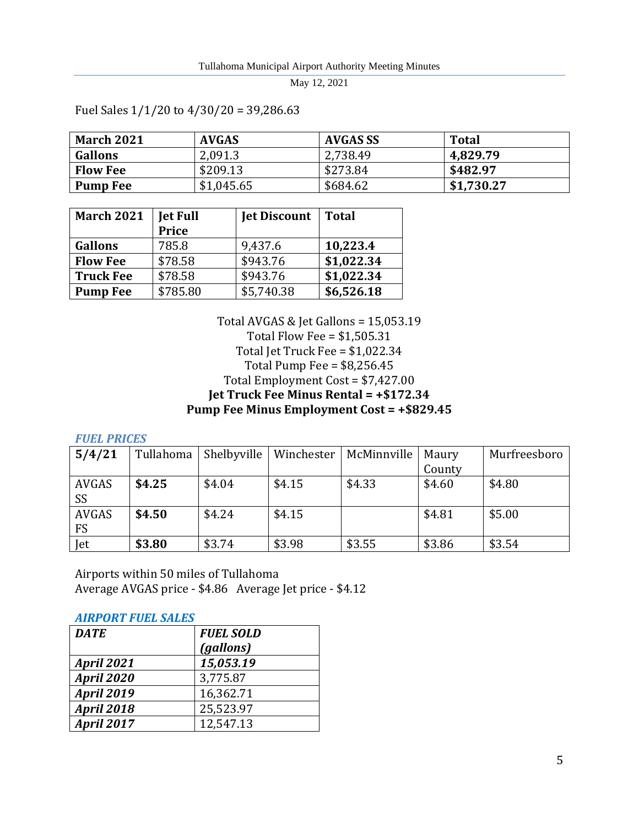| <b>March 2021</b> | <b>AVGAS</b> | AVGAS SS | <b>Total</b> |
|-------------------|--------------|----------|--------------|
| <b>Gallons</b>    | 2,091.3      | 2,738.49 | 4,829.79     |
| <b>Flow Fee</b>   | \$209.13     | \$273.84 | \$482.97     |
| <b>Pump Fee</b>   | \$1,045.65   | \$684.62 | \$1,730.27   |

Fuel Sales 1/1/20 to 4/30/20 = 39,286.63

| <b>March 2021</b> | <b>Jet Full</b><br><b>Price</b> | <b>Jet Discount</b> | <b>Total</b> |
|-------------------|---------------------------------|---------------------|--------------|
| <b>Gallons</b>    | 785.8                           | 9,437.6             | 10,223.4     |
| <b>Flow Fee</b>   | \$78.58                         | \$943.76            | \$1,022.34   |
| <b>Truck Fee</b>  | \$78.58                         | \$943.76            | \$1,022.34   |
| <b>Pump Fee</b>   | \$785.80                        | \$5,740.38          | \$6,526.18   |

Total AVGAS & Jet Gallons = 15,053.19 Total Flow Fee = \$1,505.31 Total Jet Truck Fee = \$1,022.34 Total Pump Fee = \$8,256.45 Total Employment Cost = \$7,427.00 **Jet Truck Fee Minus Rental = +\$172.34 Pump Fee Minus Employment Cost = +\$829.45**

*FUEL PRICES*

| 5/4/21       | Tullahoma | Shelbyville | Winchester | McMinnville | Maury  | Murfreesboro |
|--------------|-----------|-------------|------------|-------------|--------|--------------|
|              |           |             |            |             | County |              |
| <b>AVGAS</b> | \$4.25    | \$4.04      | \$4.15     | \$4.33      | \$4.60 | \$4.80       |
| <b>SS</b>    |           |             |            |             |        |              |
| <b>AVGAS</b> | \$4.50    | \$4.24      | \$4.15     |             | \$4.81 | \$5.00       |
| <b>FS</b>    |           |             |            |             |        |              |
| Jet          | \$3.80    | \$3.74      | \$3.98     | \$3.55      | \$3.86 | \$3.54       |

Airports within 50 miles of Tullahoma Average AVGAS price - \$4.86 Average Jet price - \$4.12

#### *AIRPORT FUEL SALES*

| <b>DATE</b>       | <b>FUEL SOLD</b> |
|-------------------|------------------|
|                   | (gallons)        |
| <b>April 2021</b> | 15,053.19        |
| <b>April 2020</b> | 3,775.87         |
| <b>April 2019</b> | 16,362.71        |
| <b>April 2018</b> | 25,523.97        |
| <b>April 2017</b> | 12,547.13        |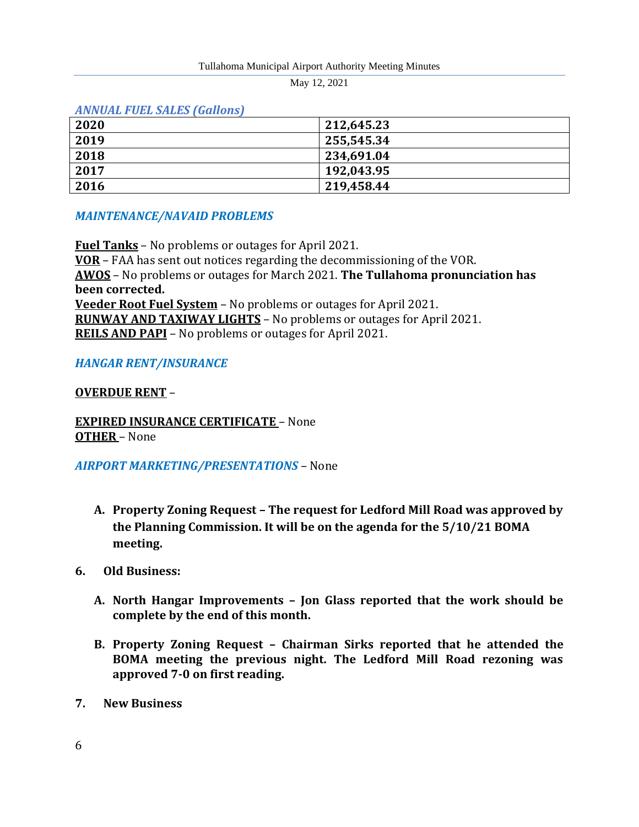#### Tullahoma Municipal Airport Authority Meeting Minutes

May 12, 2021

#### *ANNUAL FUEL SALES (Gallons)*

| 2020 | 212,645.23  |
|------|-------------|
| 2019 | 1255,545.34 |
| 2018 | 234,691.04  |
| 2017 | 192,043.95  |
| 2016 | 219,458.44  |

## *MAINTENANCE/NAVAID PROBLEMS*

**Fuel Tanks** – No problems or outages for April 2021. **VOR** – FAA has sent out notices regarding the decommissioning of the VOR. **AWOS** – No problems or outages for March 2021. **The Tullahoma pronunciation has been corrected. Veeder Root Fuel System** – No problems or outages for April 2021. **RUNWAY AND TAXIWAY LIGHTS** – No problems or outages for April 2021. **REILS AND PAPI** – No problems or outages for April 2021.

## *HANGAR RENT/INSURANCE*

## **OVERDUE RENT** –

**EXPIRED INSURANCE CERTIFICATE** – None **OTHER** – None

#### *AIRPORT MARKETING/PRESENTATIONS* – None

- **A. Property Zoning Request – The request for Ledford Mill Road was approved by the Planning Commission. It will be on the agenda for the 5/10/21 BOMA meeting.**
- **6. Old Business:**
	- **A. North Hangar Improvements – Jon Glass reported that the work should be complete by the end of this month.**
	- **B. Property Zoning Request – Chairman Sirks reported that he attended the BOMA meeting the previous night. The Ledford Mill Road rezoning was approved 7-0 on first reading.**
- **7. New Business**